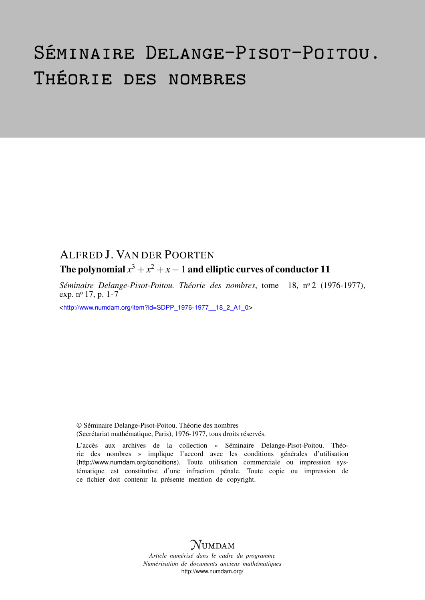# Séminaire Delange-Pisot-Poitou. Théorie des nombres

## ALFRED J. VAN DER POORTEN

### The polynomial  $x^3+x^2+x-1$  and elliptic curves of conductor  ${\bf 11}$

*Séminaire Delange-Pisot-Poitou. Théorie des nombres*, tome 18, n<sup>o</sup> 2 (1976-1977), exp. n<sup>o</sup> 17, p. 1-7

<[http://www.numdam.org/item?id=SDPP\\_1976-1977\\_\\_18\\_2\\_A1\\_0](http://www.numdam.org/item?id=SDPP_1976-1977__18_2_A1_0)>

© Séminaire Delange-Pisot-Poitou. Théorie des nombres (Secrétariat mathématique, Paris), 1976-1977, tous droits réservés.

L'accès aux archives de la collection « Séminaire Delange-Pisot-Poitou. Théorie des nombres » implique l'accord avec les conditions générales d'utilisation (<http://www.numdam.org/conditions>). Toute utilisation commerciale ou impression systématique est constitutive d'une infraction pénale. Toute copie ou impression de ce fichier doit contenir la présente mention de copyright.

# **NUMDAM**

*Article numérisé dans le cadre du programme Numérisation de documents anciens mathématiques* <http://www.numdam.org/>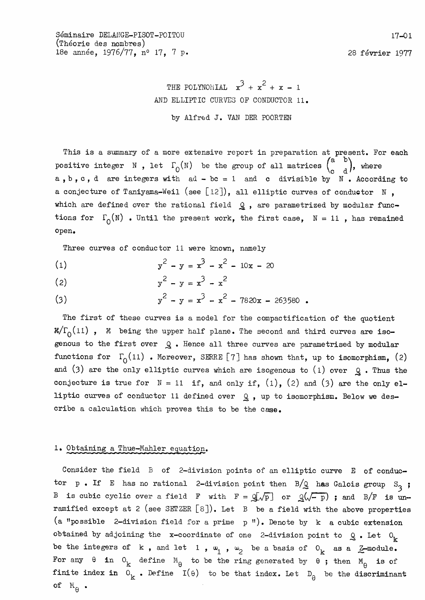Séminaire DELANGE-PISOT-POITOU (Théorie des nombres) 18e année, 1976/77, nº 17, 7 p.

28 février 1977

THE POLYNOMIAL  $x^3 + x^2 + x - 1$ AND ELLIPTIC CURVES OF CONDUCTOR 11. by Alfred J. VAN DER POORTEN

This is a summary of a more extensive report in preparation at present. For each positive integer N, let  $\Gamma_0(N)$  be the group of all matrices  $\begin{pmatrix} a & b \\ c & d \end{pmatrix}$ , where a, b, c, d are integers with  $ad - bc = 1$  and c divisible by  $N$ . According to a conjecture of Taniyama-Weil (see [12]), all elliptic curves of conductor  $N$ , which are defined over the rational field  $Q$ , are parametrized by modular functions for  $\Gamma_0(N)$  . Until the present work, the first case,  $N = 11$ , has remained open.

Three curves of conductor 11 were known, namely

 $y^2 - y = x^3 - x^2 - 10x - 20$  $(1)$ 

(2) 
$$
y^2 - y = x^3 - x^2
$$

(3) 
$$
y^2 - y = x^3 - x^2 - 7820x - 263580
$$

The first of these curves is a model for the compactification of the quotient  $\mathcal{K}/\Gamma_0(11)$ ,  $\mathcal{K}$  being the upper half plane. The second and third curves are isogenous to the first over  $Q$ . Hence all three curves are parametrised by modular functions for  $\Gamma_0(11)$  . Moreover, SERRE [7] has shown that, up to isomorphism, (2) and (3) are the only elliptic curves which are isogenous to (1) over  $Q$ . Thus the conjecture is true for  $N = 11$  if, and only if,  $(1)$ ,  $(2)$  and  $(3)$  are the only elliptic curves of conductor 11 defined over  $Q$ , up to isomorphism. Below we describe a calculation which proves this to be the case.

### 1. Obtaining a Thue-Mahler equation.

Consider the field B of 2-division points of an elliptic curve E of conductor p. If E has no rational 2-division point then  $B/Q$  has Galois group  $S_3$ ; B is cubic cyclic over a field F with  $F = Q[\sqrt{p}]$  or  $Q(\sqrt{-p})$ ; and B/F is unramified except at 2 (see SETZER  $[8]$ ). Let B be a field with the above properties (a "possible 2-division field for a prime p"). Denote by k a cubic extension obtained by adjoining the x-coordinate of one 2-division point to  $Q_0$ . Let  $O_k$ be the integers of k, and let 1,  $\omega_1$ ,  $\omega_2$  be a basis of  $0_k$  as a  $\mathcal{Z}$ -module. For any  $\theta$  in  $0_k$  define  $M_{\theta}$  to be the ring generated by  $\theta$ ; then  $M_{\theta}$  is of finite index in  $0_k$ . Define  $I(\theta)$  to be that index. Let  $D_{\theta}$  be the discriminant of  $\mathbb{M}_\Theta$  .

 $17 - 01$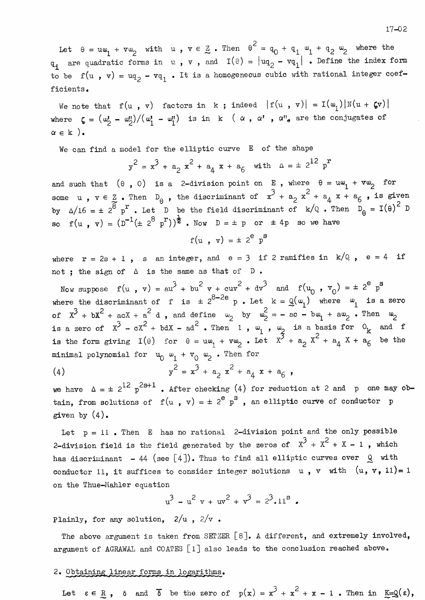$17 - 02$ 

Let  $\theta = u\omega_1 + v\omega_2$  with  $u, v \in \mathbb{Z}$ . Then  $\theta^2 = q_0 + q_1 \omega_1 + q_2 \omega_2$  where the  $q_i$  are quadratic forms in  $v$ ,  $v$ , and  $I(e) = |uq_2 - vq_1|$ . Define the index form to be  $f(u, v) = u_{12} - v_{11}$ . It is a homogeneous cubic with rational integer coefficients.

We note that  $f(u, v)$  factors in k; indeed  $|f(u, v)| = I(w_1)|N(u + \zeta v)|$ where  $\zeta = (\omega_2^{\prime} - \omega_2^{\prime\prime})/(\omega_1^{\prime} - \omega_1^{\prime\prime})$  is in k  $(\alpha, \alpha^{\prime}, \alpha^{\prime\prime}, \alpha^{\prime\prime})$  are the conjugates of  $\alpha \in k$  ).

We can find a model for the elliptic curve E of the shape

$$
y^2 = x^3 + a_2 x^2 + a_4 x + a_6
$$
 with  $\Delta = \pm 2^{12} p^2$ 

and such that  $(\theta, 0)$  is a 2-division point on E, where  $\theta = u\omega_1 + v\omega_2$  for some  $u$ ,  $v \in Z$ . Then  $D_{\theta}$ , the discriminant of  $x^3 + a_2 x^2 + a_4 x + a_6$ , is given<br>by  $\Delta/16 = \pm 2^8 p^r$ . Let D be the field discriminant of  $k/Q$ . Then  $D_{\theta} = I(\theta)^2 D$ so  $f(u, v) = (D^{-1}(\pm 2^8 p^r))^{\frac{1}{2}}$ . Now  $D = \pm p$  or  $\pm 4p$  so we have

$$
f(u , v) = \pm 2^e p^x
$$

where  $r = 2s + 1$ , s an integer, and  $e = 3$  if 2 ramifies in  $k/Q$ ,  $e = 4$  if not ; the sign of  $\triangle$  is the same as that of  $D$ .

Now suppose  $f(u, v) = au^3 + bu^2 v + cuv^2 + dv^3$  and  $f(u_0, v_0) = \pm 2^e v^s$ where the discriminant of f is  $\pm 2^{8-2e}$  p. Let  $k = Q(\omega_1)$  where  $\omega_1$  is a zero of  $x^3 + bx^2 + acX + a^2 d$ , and define  $\omega_2$  by  $\omega_2^2 = -ac - bw_1 + aw_2$ . Then  $\omega_2$ is a zero of  $x^3 - cx^2 + bdx - ad^2$ . Then 1,  $\omega_1$ ,  $\omega_2$  is a basis for  $0$ <sub>k</sub> and f is the form giving  $I(\theta)$  for  $\theta = u\omega_1 + v\omega_2$ . Let  $X^3 + a_2 X^2 + a_4 X + a_6$  be the minimal polynomial for  $u_0 \omega_1 + v_0 \omega_2$ . Then for

(4) 
$$
y^2 = x^3 + a_2 x^2 + a_4 x + a_6,
$$

we have  $\Delta = \pm 2^{12} p^{2s+1}$ . After checking (4) for reduction at 2 and p one may obtain, from solutions of  $f(u, v) = \pm 2^e p^s$ , an elliptic curve of conductor p given by  $(4)$ .

Let  $p = 11$ . Then E has no rational 2-division point and the only possible 2-division field is the field generated by the zeros of  $x^3 + x^2 + x - 1$ , which has discriminant - 44 (see [4]). Thus to find all elliptic curves over  $Q$  with conductor 11, it suffices to consider integer solutions  $u$ ,  $v$  with  $(u, v, 11)=1$ on the Thue-Mahler equation

$$
u^3 - u^2 v + uv^2 + v^3 = 2^3 \cdot 11^8
$$

Plainly, for any solution,  $2/u$ ,  $2/v$ .

The above argument is taken from SETZER [8]. A different, and extremely involved, argument of AGRAWAL and COATES [1] also leads to the conclusion reached above.

#### 2. Obtaining linear forms in logarithms.

Let  $\varepsilon \in \mathbb{R}$ ,  $\delta$  and  $\overline{\delta}$  be the zero of  $p(x) = x^3 + x^2 + x - 1$ . Then in  $\underline{\kappa} = \mathbb{Q}(\varepsilon)$ ,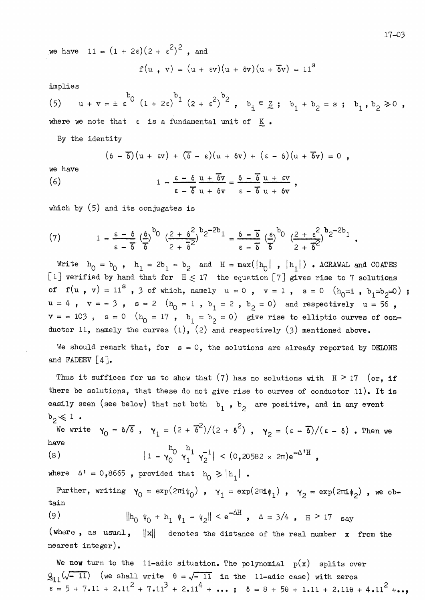we have  $11 = (1 + 2\varepsilon)(2 + \varepsilon^2)^2$ , and

$$
f(u , v) = (u + \epsilon v)(u + \delta v)(u + \delta v) = 11S
$$

implies

(5) 
$$
u + v = \pm \epsilon^{b_0} (1 + 2\epsilon)^{b_1} (2 + \epsilon^2)^{b_2}
$$
,  $b_1 \in \mathbb{Z}$ ;  $b_1 + b_2 = s$ ;  $b_1, b_2 \ge 0$ ,

where we note that  $\varepsilon$  is a fundamental unit of  $K$ .

By the identity

$$
(\delta - \overline{\delta})(u + \epsilon v) + (\delta - \epsilon)(u + \delta v) + (\epsilon - \delta)(u + \overline{\delta}v) = 0,
$$

we have

(6) 
$$
1 - \frac{\varepsilon - \delta}{\varepsilon - \delta} \frac{u + \delta v}{u + \delta v} = \frac{\delta - \delta}{\varepsilon - \delta} \frac{u + \varepsilon v}{u + \delta v}
$$

which by  $(5)$  and its conjugates is

(7) 
$$
1 - \frac{\varepsilon - \delta}{\varepsilon - \delta} \left(\frac{\delta}{\delta}\right)^{b_0} \left(\frac{2 + \delta^2}{2 + \overline{\delta}^2}\right)^{b_2 - 2b_1} = \frac{\delta - \overline{\delta}}{\varepsilon - \delta} \left(\frac{\varepsilon}{\delta}\right)^{b_0} \left(\frac{2 + \varepsilon^2}{2 + \overline{\delta}^2}\right)^{b_2 - 2b_1}
$$

Write  $h_0 = b_0$ ,  $h_1 = 2b_1 - b_2$  and  $H = max(|h_0|, |h_1|)$ . AGRAWAL and COATES [1] verified by hand that for  $H \le 17$  the equation [7] gives rise to 7 solutions of  $f(u, v) = 11^8$ , 3 of which, namely  $u = 0$ ,  $v = 1$ ,  $s = 0$   $(h_0=1, b_1=b_2=0)$ ;  $u = 4$ ,  $v = -3$ ,  $s = 2$  ( $h_0 = 1$ ,  $b_1 = 2$ ,  $b_2 = 0$ ) and respectively  $u = 56$ ,  $v = -103$ ,  $s = 0$  ( $h_0 = 17$ ,  $b_1 = b_2 = 0$ ) give rise to elliptic curves of conductor 11, namely the curves  $(1)$ ,  $(2)$  and respectively  $(3)$  mentioned above.

We should remark that, for  $s = 0$ , the solutions are already reported by DELONE and FADEEV  $[4]$ .

Thus it suffices for us to show that (7) has no solutions with  $H > 17$  (or, if there be solutions, that these do not give rise to curves of conductor 11). It is easily seen (see below) that not both  $b_1$ ,  $b_2$  are positive, and in any event  $b_2 \leqslant 1$ .

We write  $\gamma_0 = \delta/\overline{\delta}$  ,  $\gamma_1 = (2 + \overline{\delta}^2)/(2 + \delta^2)$  ,  $\gamma_2 = (\epsilon - \overline{\delta})/(\epsilon - \delta)$  . Then we have  $h_0$   $h_1$   $-1$  $A$  *TT*  $\sim$ 

(8) 
$$
|1 - \gamma_0^{\circ} \gamma_1^{\perp} \gamma_2^{-1}| < (0,20582 \times 2\pi)e^{-\Delta^2 \Pi}
$$

where  $\Delta^1 = 0,8665$ , provided that  $h_0 \ge |h_1|$ .

Further, writing  $\gamma_0 = \exp(2\pi i \psi_0)$ ,  $\gamma_1 = \exp(2\pi i \psi_1)$ ,  $\gamma_2 = \exp(2\pi i \psi_2)$ , we obtain

(9) 
$$
\|h_0 \psi_0 + h_1 \psi_1 - \psi_2\| < e^{-\Delta H} , \quad \Delta = 3/4 , \quad H > 17 \text{ say}
$$

(where, as usual,  $\|x\|$ denotes the distance of the real number x from the  $nearest\ integer$ .

We now turn to the 11-adic situation. The polynomial  $p(x)$  splits over  $Q_{11}(\sqrt{-11})$  (we shall write  $\theta = \sqrt{-11}$  in the 11-adic case) with zeros<br> $\epsilon = 5 + 7.11 + 2.11^2 + 7.11^3 + 2.11^4 + ...$ ;  $\delta = 8 + 5\theta + 1.11 + 2.11\theta + 4.11^2 + ...$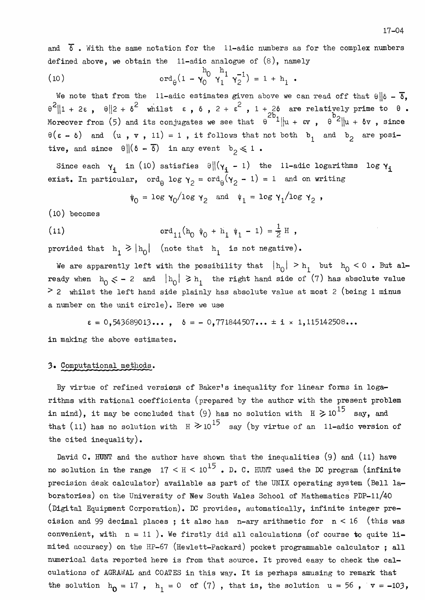and  $\delta$ . With the same notation for the 11-adic numbers as for the complex numbers defined above, we obtain the  $11$ -adic analogue of  $(8)$ , namely

(10) 
$$
\operatorname{ord}_{\theta}(1 - \gamma_0^{h_0} \gamma_1^{h_1} \gamma_2^{-1}) = 1 + h_1.
$$

We note that from the 11-adic estimates given above we can read off that  $\theta || \delta - \overline{\delta}$ ,  $\theta^2 \|1 + 2\varepsilon$ ,  $\theta \|2 + \delta^2$  whilst  $\varepsilon$ ,  $\delta$ ,  $2 + \varepsilon^2$ ,  $1 + 2\delta$  are relatively prime to  $\theta$ . Moreover from (5) and its conjugates we see that  $\theta^{2b}1||u + \epsilon v$ ,  $\theta^{b2}||u + \delta v$ , since  $\theta(\epsilon - \delta)$  and  $(u, v, 11) = 1$ , it follows that not both  $b_1$  and  $b_2$  are positive, and since  $\theta \| (\delta - \overline{\delta})$  in any event  $b_0 \leq 1$ .

Since each  $\gamma_i$  in (10) satisfies  $\theta \| (\gamma_i - 1)$  the 11-adic logarithms log  $\gamma_i$ exist. In particular,  $\text{ord}_{\theta}$  log  $\gamma_2 = \text{ord}_{\theta}(\gamma_2 - 1) = 1$  and on writing

$$
\psi_0 = \log \gamma_0 / \log \gamma_2 \quad \text{and} \quad \psi_1 = \log \gamma_1 / \log \gamma_2 ,
$$

 $(10)$  becomes

(11) 
$$
\operatorname{ord}_{11}(h_0 \psi_0 + h_1 \psi_1 - 1) = \frac{1}{2} H
$$

provided that  $h_1 \ge |h_0|$  (note that  $h_1$  is not negative).

We are apparently left with the possibility that  $|h_0| > h_1$  but  $h_0 < 0$ . But already when  $h_0 \leq -2$  and  $|h_0| \geq h_1$  the right hand side of (7) has absolute value  $>$  2 whilst the left hand side plainly has absolute value at most 2 (being 1 minus a number on the unit circle). Here we use

 $\epsilon = 0,543689013...$ ,  $\delta = -0,771844507... \pm i \times 1,115142508...$ 

in making the above estimates.

#### 3. Computational methods.

By virtue of refined versions of Baker's inequality for linear forms in logarithms with rational coefficients (prepared by the author with the present problem in mind), it may be concluded that (9) has no solution with  $H \ge 10^{15}$  say, and that (11) has no solution with  $H \ge 10^{15}$  say (by virtue of an 11-adic version of the cited inequality).

David C. HUNT and the author have shown that the inequalities  $(9)$  and  $(11)$  have no solution in the range  $17 < H < 10^{15}$ . D. C. HUNT used the DC program (infinite precision desk calculator) available as part of the UNIX operating system (Bell laboratories) on the University of New South Wales School of Mathematics PDP-11/40 (Digital Equipment Corporation). DC provides, automatically, infinite integer precision and 99 decimal places; it also has n-ary arithmetic for  $n < 16$  (this was convenient, with  $n = 11$ ). We firstly did all calculations (of course to quite limited accuracy) on the HP-67 (Hewlett-Packard) pocket programmable calculator; all numerical data reported here is from that source. It proved easy to check the calculations of AGRAWAL and COATES in this way. It is perhaps amusing to remark that the solution  $h_0 = 17$ ,  $h_1 = 0$  of (7), that is, the solution  $u = 56$ ,  $v = -103$ ,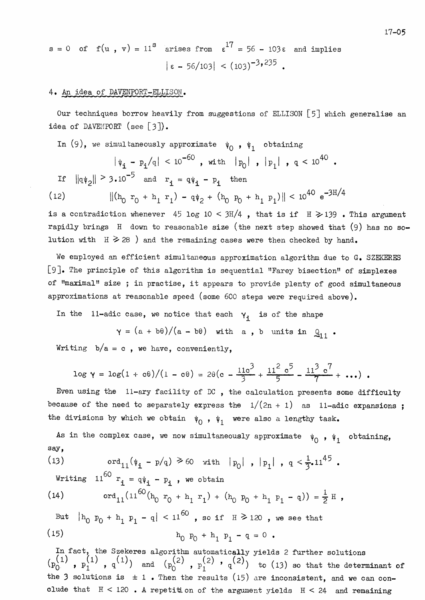$$
s = 0 \quad \text{of} \quad f(u \text{ , } v) = 11^8 \quad \text{arises from} \quad \epsilon^{17} = 56 - 103\epsilon \quad \text{and implies} \quad |\epsilon - 56/103| < (103)^{-3} \cdot \epsilon^{235} \, .
$$

#### 4. An idea of DAVENPORT-ELLISON.

Our techniques borrow heavily from suggestions of ELLISON [5] which generalise an idea of DAVENPORT (see  $[3]$ ).

In (9), we simultaneously approximate  $\psi_0$ ,  $\psi_1$  obtaining

$$
|\psi_{\mathbf{i}} - p_{\mathbf{i}}/q| < 10^{-60}
$$
, with  $|p_0|$ ,  $|p_1|$ ,  $q < 10^{40}$ .  
If  $||q\psi_2|| \geq 3 \cdot 10^{-5}$  and  $r_{\mathbf{i}} = q\psi_{\mathbf{i}} - p_{\mathbf{i}}$  then

(12) 
$$
\| (h_0 r_0 + h_1 r_1) - q \psi_2 + (h_0 p_0 + h_1 p_1) \| < 10^{40} e^{-3H/4}
$$

is a contradiction whenever 45 log 10 < 3H/4, that is if  $H \ge 139$ . This argument rapidly brings  $H$  down to reasonable size (the next step showed that (9) has no solution with  $H \ge 28$  ) and the remaining cases were then checked by hand.

We employed an efficient simultaneous approximation algorithm due to G. SZEKERES [9]. The principle of this algorithm is sequential "Farey bisection" of simplexes of "maximal" size; in practise, it appears to provide plenty of good simultaneous approximations at reasonable speed (some 600 steps were required above).

In the 11-adic case, we notice that each  $y_i$  is of the shape

 $\gamma = (a + b\theta)/(a - b\theta)$  with a, b units in  $Q_{11}$ .

Writing  $b/a = c$ , we have, conveniently,

$$
\log \gamma = \log(1 + c\theta) / (1 - c\theta) = 2\theta(c - \frac{11c^3}{3} + \frac{11^2 c^5}{5} - \frac{11^3 c^7}{7} + \cdots).
$$

Even using the  $11$ -ary facility of DC, the calculation presents some difficulty because of the need to separately express the  $1/(2n + 1)$  as 11-adic expansions; the divisions by which we obtain  $\psi_0$ ,  $\psi_1$  were also a lengthy task.

As in the complex case, we now simultaneously approximate  $\psi_0$ ,  $\psi_1$  obtaining, say,

(13) 
$$
\operatorname{ord}_{11}(\psi_{\mathbf{i}} - p/q) \ge 60 \quad \text{with} \quad |p_0|, |p_1|, q < \frac{1}{3}.11^{45}.
$$
  
Writing  $11^{60}$   $r_{\mathbf{i}} = q\psi_{\mathbf{i}} - p_{\mathbf{i}}$ , we obtain

(14) 
$$
\operatorname{ord}_{11}(11^{60}(h_0 r_0 + h_1 r_1) + (h_0 p_0 + h_1 p_1 - q)) = \frac{1}{2} H
$$

But 
$$
|h_0 p_0 + h_1 p_1 - q| < 11^{60}
$$
, so if  $H \ge 120$ , we see that  
(15)  $h_0 p_0 + h_1 p_1 - q = 0$ .

In fact, the Szekeres algorithm automatically yields 2 further solutions  $(p_0^{(1)}, p_1^{(1)}, q^{(1)})$  and  $(p_0^{(2)}, p_1^{(2)}, q^{(2)})$  to (13) so that the determinant of the 3 solutions is  $\pm 1$ . Then the results (15) are inconsistent, and we can conclude that  $H < 120$ . A repetition of the argument yields  $H < 24$  and remaining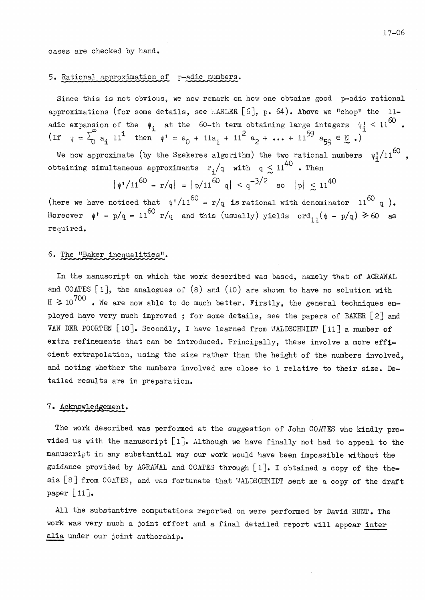cases are checked by hand.

#### 5. Rational approximation of p-adic numbers.

Since this is not obvious, we now remark on how one obtains good p-adic rational approximations (for some details, see MAHLER [6], p. 64). Above we "chop" the 11adic expansion of the  $\psi_i$  at the 60-th term obtaining large integers  $\psi_i^1$  < 11<sup>60</sup>. (If  $\psi = \sum_{0}^{\infty} a_i 11^{i}$  then  $\psi' = a_0 + 11a_1 + 11^{2} a_2 + \cdots + 11^{59} a_{59} \in \mathbb{R}$ .)

We now approximate (by the Szekeres algorithm) the two rational numbers  $\psi_1^2/11^{60}$ , obtaining simultaneous approximants  $r_1/q$  with  $q \leq 11^{40}$  . Then

$$
\psi'/11^{60} - r/q| = |p/11^{60} q| < q^{-3/2} \text{ so } |p| \le 11^{40}
$$

(here we have noticed that  $\sqrt[4]{11^{60} - r/q}$  is rational with denominator  $11^{60} q$ ). Moreover  $\psi' - p/q = 11^{60} r/q$  and this (usually) yields  $\text{ord}_{11}(\psi - p/q) \ge 60$  as required.

#### 6. The "Baker inequalities".

In the manuscript on which the work described was based, namely that of AGRAWAL and COATES  $[1]$ , the analogues of  $(8)$  and  $(10)$  are shown to have no solution with  $H \ge 10^{700}$  . We are now able to do much better. Firstly, the general techniques employed have very much improved; for some details, see the papers of BAKER [2] and VAN DER POORTEN [10]. Secondly, I have learned from WALDSCHMIDT [11] a number of extra refinements that can be introduced. Principally, these involve a more efficient extrapolation, using the size rather than the height of the numbers involved. and noting whether the numbers involved are close to 1 relative to their size. Detailed results are in preparation.

#### 7. Acknowledgement.

The work described was performed at the suggestion of John COATES who kindly provided us with the manuscript  $[1]$ . Although we have finally not had to appeal to the manuscript in any substantial way our work would have been impossible without the guidance provided by AGRAWAL and COATES through  $[1]$ . I obtained a copy of the thesis [8] from COATES, and was fortunate that WALDSCHMIDT sent me a copy of the draft paper  $\lfloor 11 \rfloor$ .

All the substantive computations reported on were performed by David HUNT. The work was very much a joint effort and a final detailed report will appear inter alia under our joint authorship.